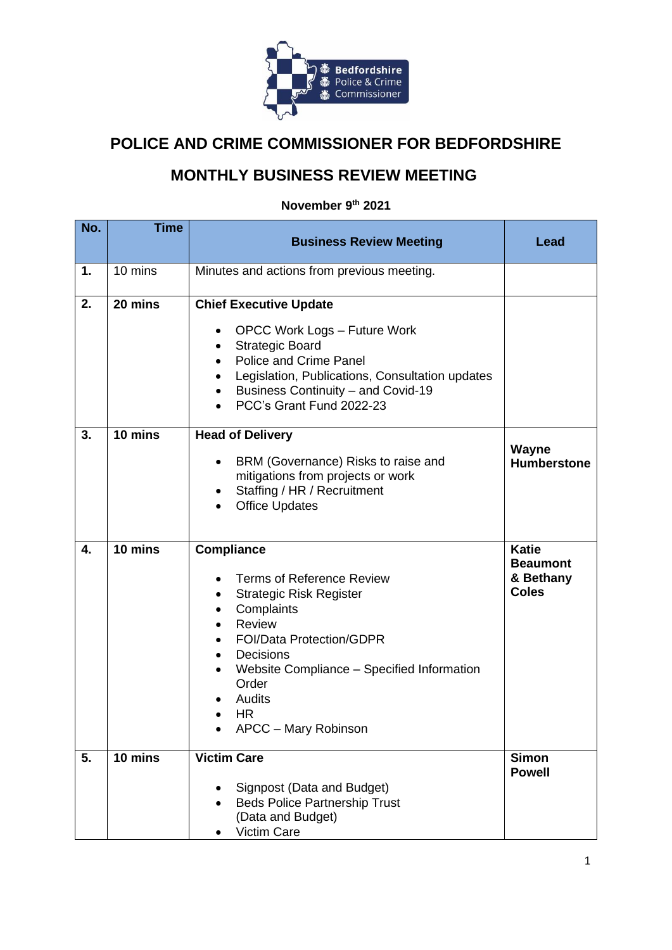

## **POLICE AND CRIME COMMISSIONER FOR BEDFORDSHIRE**

## **MONTHLY BUSINESS REVIEW MEETING**

## **November 9 th 2021**

| No. | <b>Time</b>       | <b>Business Review Meeting</b>                                                                                                                                                                                                                                                                  | Lead                                                         |
|-----|-------------------|-------------------------------------------------------------------------------------------------------------------------------------------------------------------------------------------------------------------------------------------------------------------------------------------------|--------------------------------------------------------------|
|     |                   |                                                                                                                                                                                                                                                                                                 |                                                              |
| 1.  | 10 mins           | Minutes and actions from previous meeting.                                                                                                                                                                                                                                                      |                                                              |
| 2.  | 20 mins           | <b>Chief Executive Update</b><br><b>OPCC Work Logs - Future Work</b><br>٠<br><b>Strategic Board</b><br><b>Police and Crime Panel</b><br>Legislation, Publications, Consultation updates<br>Business Continuity - and Covid-19<br>PCC's Grant Fund 2022-23                                       |                                                              |
| 3.  | 10 mins           | <b>Head of Delivery</b><br>BRM (Governance) Risks to raise and<br>$\bullet$<br>mitigations from projects or work<br>Staffing / HR / Recruitment<br><b>Office Updates</b>                                                                                                                        | Wayne<br><b>Humberstone</b>                                  |
| 4.  | $10 \text{ mins}$ | <b>Compliance</b><br><b>Terms of Reference Review</b><br><b>Strategic Risk Register</b><br>Complaints<br>Review<br><b>FOI/Data Protection/GDPR</b><br>Decisions<br>$\bullet$<br>Website Compliance - Specified Information<br>$\bullet$<br>Order<br>Audits<br><b>HR</b><br>APCC - Mary Robinson | <b>Katie</b><br><b>Beaumont</b><br>& Bethany<br><b>Coles</b> |
| 5.  | 10 mins           | <b>Victim Care</b><br>Signpost (Data and Budget)<br><b>Beds Police Partnership Trust</b><br>(Data and Budget)<br>Victim Care                                                                                                                                                                    | <b>Simon</b><br><b>Powell</b>                                |